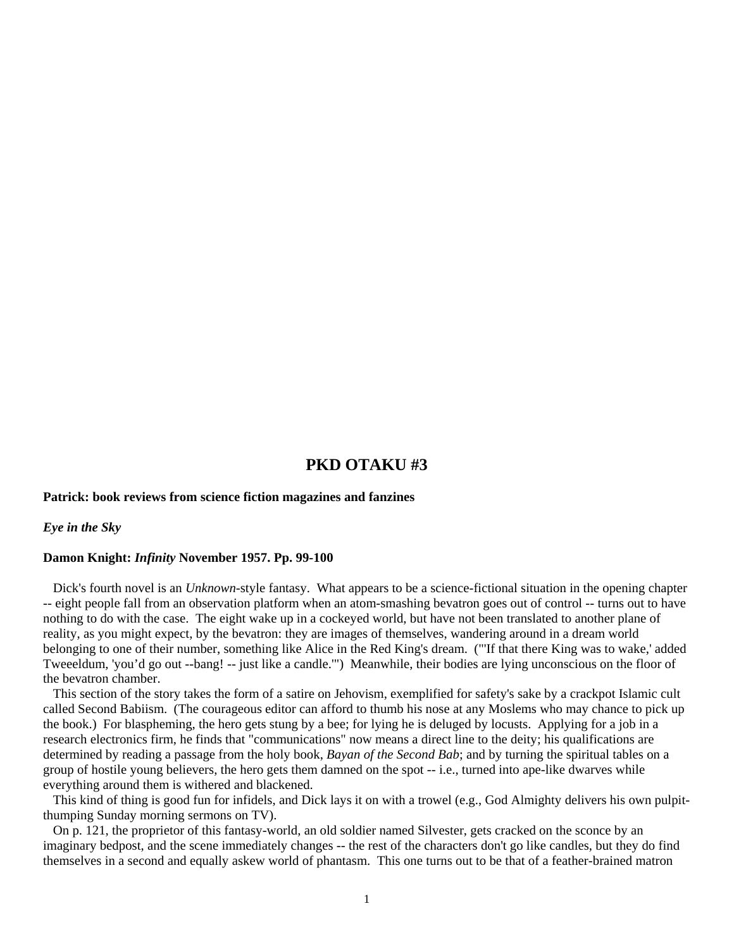# **PKD OTAKU #3**

#### **Patrick: book reviews from science fiction magazines and fanzines**

*Eye in the Sky* 

#### **Damon Knight:** *Infinity* **November 1957. Pp. 99-100**

 Dick's fourth novel is an *Unknown*-style fantasy. What appears to be a science-fictional situation in the opening chapter -- eight people fall from an observation platform when an atom-smashing bevatron goes out of control -- turns out to have nothing to do with the case. The eight wake up in a cockeyed world, but have not been translated to another plane of reality, as you might expect, by the bevatron: they are images of themselves, wandering around in a dream world belonging to one of their number, something like Alice in the Red King's dream. ("'If that there King was to wake,' added Tweeeldum, 'you'd go out --bang! -- just like a candle.'") Meanwhile, their bodies are lying unconscious on the floor of the bevatron chamber.

 This section of the story takes the form of a satire on Jehovism, exemplified for safety's sake by a crackpot Islamic cult called Second Babiism. (The courageous editor can afford to thumb his nose at any Moslems who may chance to pick up the book.) For blaspheming, the hero gets stung by a bee; for lying he is deluged by locusts. Applying for a job in a research electronics firm, he finds that "communications" now means a direct line to the deity; his qualifications are determined by reading a passage from the holy book, *Bayan of the Second Bab*; and by turning the spiritual tables on a group of hostile young believers, the hero gets them damned on the spot -- i.e., turned into ape-like dwarves while everything around them is withered and blackened.

 This kind of thing is good fun for infidels, and Dick lays it on with a trowel (e.g., God Almighty delivers his own pulpitthumping Sunday morning sermons on TV).

 On p. 121, the proprietor of this fantasy-world, an old soldier named Silvester, gets cracked on the sconce by an imaginary bedpost, and the scene immediately changes -- the rest of the characters don't go like candles, but they do find themselves in a second and equally askew world of phantasm. This one turns out to be that of a feather-brained matron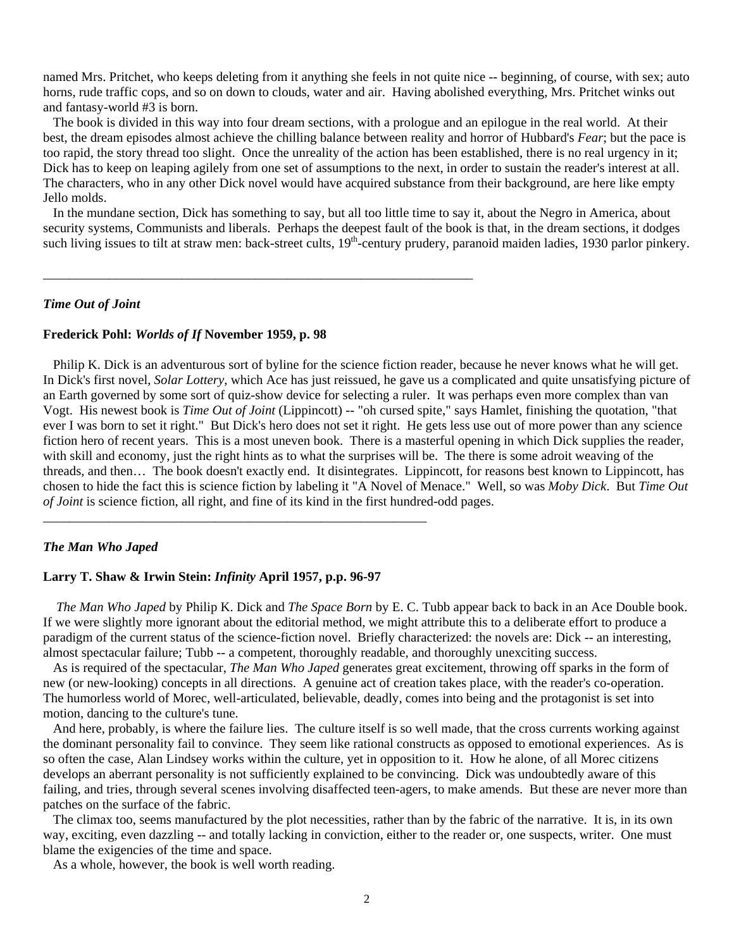named Mrs. Pritchet, who keeps deleting from it anything she feels in not quite nice -- beginning, of course, with sex; auto horns, rude traffic cops, and so on down to clouds, water and air. Having abolished everything, Mrs. Pritchet winks out and fantasy-world #3 is born.

 The book is divided in this way into four dream sections, with a prologue and an epilogue in the real world. At their best, the dream episodes almost achieve the chilling balance between reality and horror of Hubbard's *Fear*; but the pace is too rapid, the story thread too slight. Once the unreality of the action has been established, there is no real urgency in it; Dick has to keep on leaping agilely from one set of assumptions to the next, in order to sustain the reader's interest at all. The characters, who in any other Dick novel would have acquired substance from their background, are here like empty Jello molds.

 In the mundane section, Dick has something to say, but all too little time to say it, about the Negro in America, about security systems, Communists and liberals. Perhaps the deepest fault of the book is that, in the dream sections, it dodges such living issues to tilt at straw men: back-street cults, 19<sup>th</sup>-century prudery, paranoid maiden ladies, 1930 parlor pinkery.

### *Time Out of Joint*

#### **Frederick Pohl:** *Worlds of If* **November 1959, p. 98**

\_\_\_\_\_\_\_\_\_\_\_\_\_\_\_\_\_\_\_\_\_\_\_\_\_\_\_\_\_\_\_\_\_\_\_\_\_\_\_\_\_\_\_\_\_\_\_\_\_\_\_\_\_\_\_\_\_\_\_\_\_\_\_\_\_

 Philip K. Dick is an adventurous sort of byline for the science fiction reader, because he never knows what he will get. In Dick's first novel, *Solar Lottery*, which Ace has just reissued, he gave us a complicated and quite unsatisfying picture of an Earth governed by some sort of quiz-show device for selecting a ruler. It was perhaps even more complex than van Vogt. His newest book is *Time Out of Joint* (Lippincott) -- "oh cursed spite," says Hamlet, finishing the quotation, "that ever I was born to set it right." But Dick's hero does not set it right. He gets less use out of more power than any science fiction hero of recent years. This is a most uneven book. There is a masterful opening in which Dick supplies the reader, with skill and economy, just the right hints as to what the surprises will be. The there is some adroit weaving of the threads, and then… The book doesn't exactly end. It disintegrates. Lippincott, for reasons best known to Lippincott, has chosen to hide the fact this is science fiction by labeling it "A Novel of Menace." Well, so was *Moby Dick*. But *Time Out of Joint* is science fiction, all right, and fine of its kind in the first hundred-odd pages.

## *The Man Who Japed*

# **Larry T. Shaw & Irwin Stein:** *Infinity* **April 1957, p.p. 96-97**

\_\_\_\_\_\_\_\_\_\_\_\_\_\_\_\_\_\_\_\_\_\_\_\_\_\_\_\_\_\_\_\_\_\_\_\_\_\_\_\_\_\_\_\_\_\_\_\_\_\_\_\_\_\_\_\_\_\_

*The Man Who Japed* by Philip K. Dick and *The Space Born* by E. C. Tubb appear back to back in an Ace Double book. If we were slightly more ignorant about the editorial method, we might attribute this to a deliberate effort to produce a paradigm of the current status of the science-fiction novel. Briefly characterized: the novels are: Dick -- an interesting, almost spectacular failure; Tubb -- a competent, thoroughly readable, and thoroughly unexciting success.

 As is required of the spectacular, *The Man Who Japed* generates great excitement, throwing off sparks in the form of new (or new-looking) concepts in all directions. A genuine act of creation takes place, with the reader's co-operation. The humorless world of Morec, well-articulated, believable, deadly, comes into being and the protagonist is set into motion, dancing to the culture's tune.

 And here, probably, is where the failure lies. The culture itself is so well made, that the cross currents working against the dominant personality fail to convince. They seem like rational constructs as opposed to emotional experiences. As is so often the case, Alan Lindsey works within the culture, yet in opposition to it. How he alone, of all Morec citizens develops an aberrant personality is not sufficiently explained to be convincing. Dick was undoubtedly aware of this failing, and tries, through several scenes involving disaffected teen-agers, to make amends. But these are never more than patches on the surface of the fabric.

 The climax too, seems manufactured by the plot necessities, rather than by the fabric of the narrative. It is, in its own way, exciting, even dazzling -- and totally lacking in conviction, either to the reader or, one suspects, writer. One must blame the exigencies of the time and space.

As a whole, however, the book is well worth reading.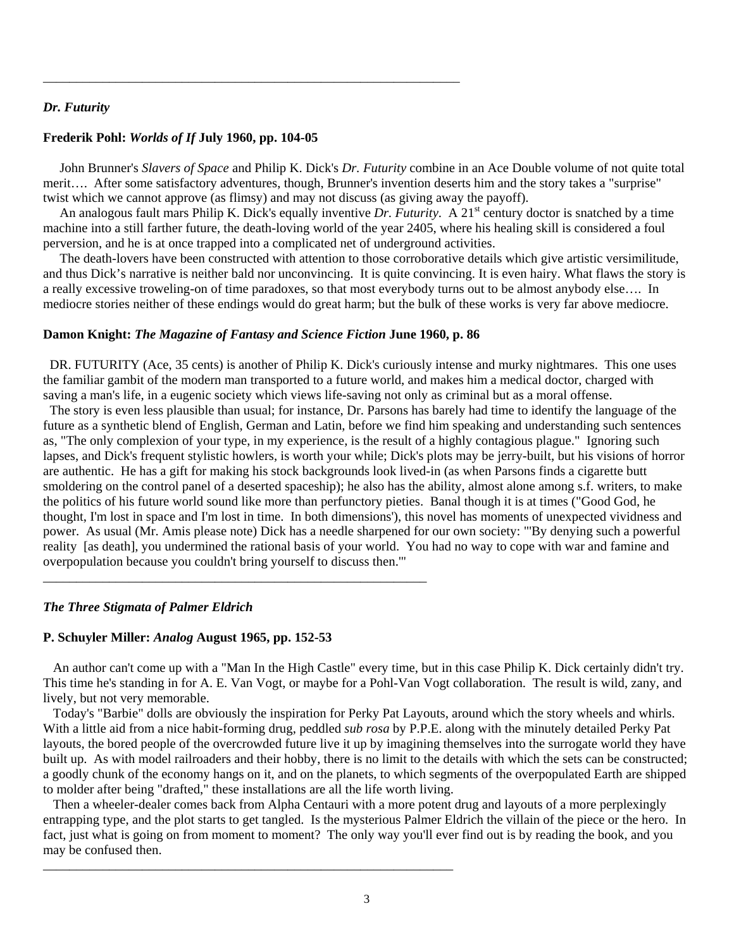## *Dr. Futurity*

# **Frederik Pohl:** *Worlds of If* **July 1960, pp. 104-05**

John Brunner's *Slavers of Space* and Philip K. Dick's *Dr. Futurity* combine in an Ace Double volume of not quite total merit…. After some satisfactory adventures, though, Brunner's invention deserts him and the story takes a "surprise" twist which we cannot approve (as flimsy) and may not discuss (as giving away the payoff).

An analogous fault mars Philip K. Dick's equally inventive *Dr. Futurity*. A 21<sup>st</sup> century doctor is snatched by a time machine into a still farther future, the death-loving world of the year 2405, where his healing skill is considered a foul perversion, and he is at once trapped into a complicated net of underground activities.

 The death-lovers have been constructed with attention to those corroborative details which give artistic versimilitude, and thus Dick's narrative is neither bald nor unconvincing. It is quite convincing. It is even hairy. What flaws the story is a really excessive troweling-on of time paradoxes, so that most everybody turns out to be almost anybody else…. In mediocre stories neither of these endings would do great harm; but the bulk of these works is very far above mediocre.

#### **Damon Knight:** *The Magazine of Fantasy and Science Fiction* **June 1960, p. 86**

\_\_\_\_\_\_\_\_\_\_\_\_\_\_\_\_\_\_\_\_\_\_\_\_\_\_\_\_\_\_\_\_\_\_\_\_\_\_\_\_\_\_\_\_\_\_\_\_\_\_\_\_\_\_\_\_\_\_\_\_\_\_\_

DR. FUTURITY (Ace, 35 cents) is another of Philip K. Dick's curiously intense and murky nightmares. This one uses the familiar gambit of the modern man transported to a future world, and makes him a medical doctor, charged with saving a man's life, in a eugenic society which views life-saving not only as criminal but as a moral offense.

 The story is even less plausible than usual; for instance, Dr. Parsons has barely had time to identify the language of the future as a synthetic blend of English, German and Latin, before we find him speaking and understanding such sentences as, "The only complexion of your type, in my experience, is the result of a highly contagious plague." Ignoring such lapses, and Dick's frequent stylistic howlers, is worth your while; Dick's plots may be jerry-built, but his visions of horror are authentic. He has a gift for making his stock backgrounds look lived-in (as when Parsons finds a cigarette butt smoldering on the control panel of a deserted spaceship); he also has the ability, almost alone among s.f. writers, to make the politics of his future world sound like more than perfunctory pieties. Banal though it is at times ("Good God, he thought, I'm lost in space and I'm lost in time. In both dimensions'), this novel has moments of unexpected vividness and power. As usual (Mr. Amis please note) Dick has a needle sharpened for our own society: "'By denying such a powerful reality [as death], you undermined the rational basis of your world. You had no way to cope with war and famine and overpopulation because you couldn't bring yourself to discuss then.'"

#### *The Three Stigmata of Palmer Eldrich*

# **P. Schuyler Miller:** *Analog* **August 1965, pp. 152-53**

\_\_\_\_\_\_\_\_\_\_\_\_\_\_\_\_\_\_\_\_\_\_\_\_\_\_\_\_\_\_\_\_\_\_\_\_\_\_\_\_\_\_\_\_\_\_\_\_\_\_\_\_\_\_\_\_\_\_

\_\_\_\_\_\_\_\_\_\_\_\_\_\_\_\_\_\_\_\_\_\_\_\_\_\_\_\_\_\_\_\_\_\_\_\_\_\_\_\_\_\_\_\_\_\_\_\_\_\_\_\_\_\_\_\_\_\_\_\_\_\_

 An author can't come up with a "Man In the High Castle" every time, but in this case Philip K. Dick certainly didn't try. This time he's standing in for A. E. Van Vogt, or maybe for a Pohl-Van Vogt collaboration. The result is wild, zany, and lively, but not very memorable.

 Today's "Barbie" dolls are obviously the inspiration for Perky Pat Layouts, around which the story wheels and whirls. With a little aid from a nice habit-forming drug, peddled *sub rosa* by P.P.E. along with the minutely detailed Perky Pat layouts, the bored people of the overcrowded future live it up by imagining themselves into the surrogate world they have built up. As with model railroaders and their hobby, there is no limit to the details with which the sets can be constructed; a goodly chunk of the economy hangs on it, and on the planets, to which segments of the overpopulated Earth are shipped to molder after being "drafted," these installations are all the life worth living.

 Then a wheeler-dealer comes back from Alpha Centauri with a more potent drug and layouts of a more perplexingly entrapping type, and the plot starts to get tangled. Is the mysterious Palmer Eldrich the villain of the piece or the hero. In fact, just what is going on from moment to moment? The only way you'll ever find out is by reading the book, and you may be confused then.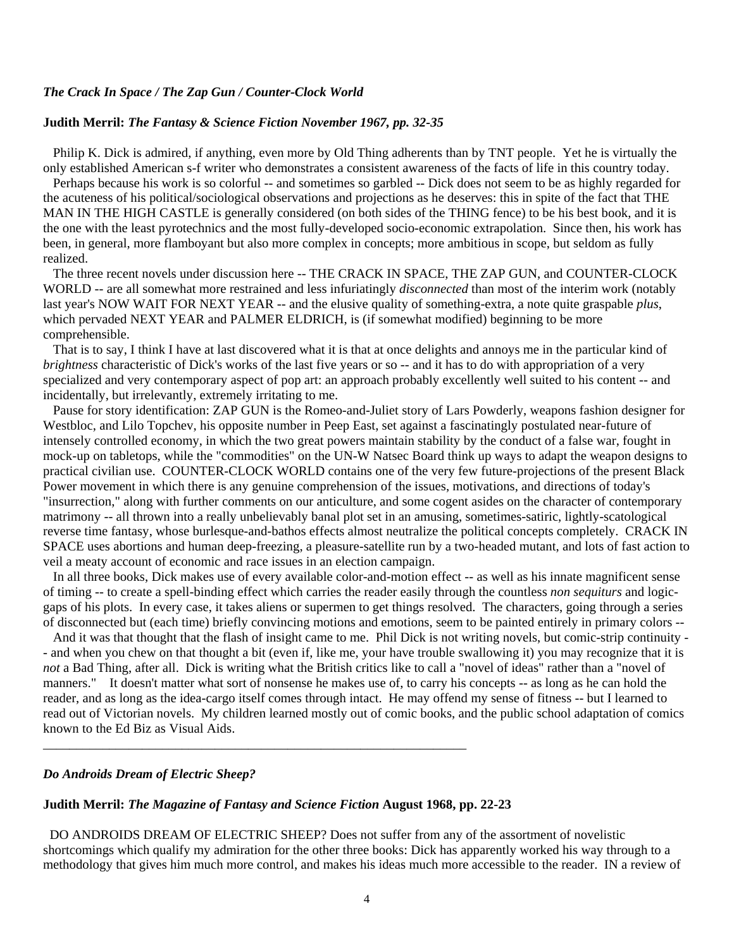## *The Crack In Space / The Zap Gun / Counter-Clock World*

## **Judith Merril:** *The Fantasy & Science Fiction November 1967, pp. 32-35*

 Philip K. Dick is admired, if anything, even more by Old Thing adherents than by TNT people. Yet he is virtually the only established American s-f writer who demonstrates a consistent awareness of the facts of life in this country today.

 Perhaps because his work is so colorful -- and sometimes so garbled -- Dick does not seem to be as highly regarded for the acuteness of his political/sociological observations and projections as he deserves: this in spite of the fact that THE MAN IN THE HIGH CASTLE is generally considered (on both sides of the THING fence) to be his best book, and it is the one with the least pyrotechnics and the most fully-developed socio-economic extrapolation. Since then, his work has been, in general, more flamboyant but also more complex in concepts; more ambitious in scope, but seldom as fully realized.

 The three recent novels under discussion here -- THE CRACK IN SPACE, THE ZAP GUN, and COUNTER-CLOCK WORLD -- are all somewhat more restrained and less infuriatingly *disconnected* than most of the interim work (notably last year's NOW WAIT FOR NEXT YEAR -- and the elusive quality of something-extra, a note quite graspable *plus*, which pervaded NEXT YEAR and PALMER ELDRICH, is (if somewhat modified) beginning to be more comprehensible.

 That is to say, I think I have at last discovered what it is that at once delights and annoys me in the particular kind of *brightness* characteristic of Dick's works of the last five years or so -- and it has to do with appropriation of a very specialized and very contemporary aspect of pop art: an approach probably excellently well suited to his content -- and incidentally, but irrelevantly, extremely irritating to me.

 Pause for story identification: ZAP GUN is the Romeo-and-Juliet story of Lars Powderly, weapons fashion designer for Westbloc, and Lilo Topchev, his opposite number in Peep East, set against a fascinatingly postulated near-future of intensely controlled economy, in which the two great powers maintain stability by the conduct of a false war, fought in mock-up on tabletops, while the "commodities" on the UN-W Natsec Board think up ways to adapt the weapon designs to practical civilian use. COUNTER-CLOCK WORLD contains one of the very few future-projections of the present Black Power movement in which there is any genuine comprehension of the issues, motivations, and directions of today's "insurrection," along with further comments on our anticulture, and some cogent asides on the character of contemporary matrimony -- all thrown into a really unbelievably banal plot set in an amusing, sometimes-satiric, lightly-scatological reverse time fantasy, whose burlesque-and-bathos effects almost neutralize the political concepts completely. CRACK IN SPACE uses abortions and human deep-freezing, a pleasure-satellite run by a two-headed mutant, and lots of fast action to veil a meaty account of economic and race issues in an election campaign.

 In all three books, Dick makes use of every available color-and-motion effect -- as well as his innate magnificent sense of timing -- to create a spell-binding effect which carries the reader easily through the countless *non sequiturs* and logicgaps of his plots. In every case, it takes aliens or supermen to get things resolved. The characters, going through a series of disconnected but (each time) briefly convincing motions and emotions, seem to be painted entirely in primary colors --

 And it was that thought that the flash of insight came to me. Phil Dick is not writing novels, but comic-strip continuity - - and when you chew on that thought a bit (even if, like me, your have trouble swallowing it) you may recognize that it is *not* a Bad Thing, after all. Dick is writing what the British critics like to call a "novel of ideas" rather than a "novel of manners." It doesn't matter what sort of nonsense he makes use of, to carry his concepts -- as long as he can hold the reader, and as long as the idea-cargo itself comes through intact. He may offend my sense of fitness -- but I learned to read out of Victorian novels. My children learned mostly out of comic books, and the public school adaptation of comics known to the Ed Biz as Visual Aids.

# *Do Androids Dream of Electric Sheep?*

# **Judith Merril:** *The Magazine of Fantasy and Science Fiction* **August 1968, pp. 22-23**

\_\_\_\_\_\_\_\_\_\_\_\_\_\_\_\_\_\_\_\_\_\_\_\_\_\_\_\_\_\_\_\_\_\_\_\_\_\_\_\_\_\_\_\_\_\_\_\_\_\_\_\_\_\_\_\_\_\_\_\_\_\_\_\_

 DO ANDROIDS DREAM OF ELECTRIC SHEEP? Does not suffer from any of the assortment of novelistic shortcomings which qualify my admiration for the other three books: Dick has apparently worked his way through to a methodology that gives him much more control, and makes his ideas much more accessible to the reader. IN a review of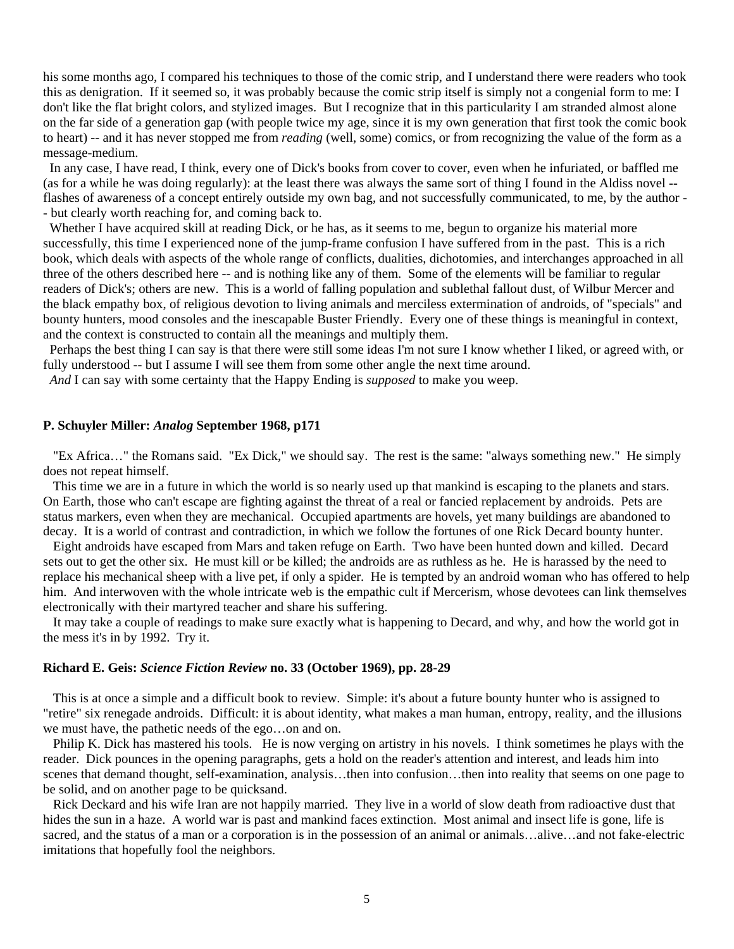his some months ago, I compared his techniques to those of the comic strip, and I understand there were readers who took this as denigration. If it seemed so, it was probably because the comic strip itself is simply not a congenial form to me: I don't like the flat bright colors, and stylized images. But I recognize that in this particularity I am stranded almost alone on the far side of a generation gap (with people twice my age, since it is my own generation that first took the comic book to heart) -- and it has never stopped me from *reading* (well, some) comics, or from recognizing the value of the form as a message-medium.

 In any case, I have read, I think, every one of Dick's books from cover to cover, even when he infuriated, or baffled me (as for a while he was doing regularly): at the least there was always the same sort of thing I found in the Aldiss novel - flashes of awareness of a concept entirely outside my own bag, and not successfully communicated, to me, by the author - - but clearly worth reaching for, and coming back to.

Whether I have acquired skill at reading Dick, or he has, as it seems to me, begun to organize his material more successfully, this time I experienced none of the jump-frame confusion I have suffered from in the past. This is a rich book, which deals with aspects of the whole range of conflicts, dualities, dichotomies, and interchanges approached in all three of the others described here -- and is nothing like any of them. Some of the elements will be familiar to regular readers of Dick's; others are new. This is a world of falling population and sublethal fallout dust, of Wilbur Mercer and the black empathy box, of religious devotion to living animals and merciless extermination of androids, of "specials" and bounty hunters, mood consoles and the inescapable Buster Friendly. Every one of these things is meaningful in context, and the context is constructed to contain all the meanings and multiply them.

 Perhaps the best thing I can say is that there were still some ideas I'm not sure I know whether I liked, or agreed with, or fully understood -- but I assume I will see them from some other angle the next time around.

*And* I can say with some certainty that the Happy Ending is *supposed* to make you weep.

## **P. Schuyler Miller:** *Analog* **September 1968, p171**

 "Ex Africa…" the Romans said. "Ex Dick," we should say. The rest is the same: "always something new." He simply does not repeat himself.

 This time we are in a future in which the world is so nearly used up that mankind is escaping to the planets and stars. On Earth, those who can't escape are fighting against the threat of a real or fancied replacement by androids. Pets are status markers, even when they are mechanical. Occupied apartments are hovels, yet many buildings are abandoned to decay. It is a world of contrast and contradiction, in which we follow the fortunes of one Rick Decard bounty hunter.

 Eight androids have escaped from Mars and taken refuge on Earth. Two have been hunted down and killed. Decard sets out to get the other six. He must kill or be killed; the androids are as ruthless as he. He is harassed by the need to replace his mechanical sheep with a live pet, if only a spider. He is tempted by an android woman who has offered to help him. And interwoven with the whole intricate web is the empathic cult if Mercerism, whose devotees can link themselves electronically with their martyred teacher and share his suffering.

 It may take a couple of readings to make sure exactly what is happening to Decard, and why, and how the world got in the mess it's in by 1992. Try it.

#### **Richard E. Geis:** *Science Fiction Review* **no. 33 (October 1969), pp. 28-29**

This is at once a simple and a difficult book to review. Simple: it's about a future bounty hunter who is assigned to "retire" six renegade androids. Difficult: it is about identity, what makes a man human, entropy, reality, and the illusions we must have, the pathetic needs of the ego…on and on.

 Philip K. Dick has mastered his tools. He is now verging on artistry in his novels. I think sometimes he plays with the reader. Dick pounces in the opening paragraphs, gets a hold on the reader's attention and interest, and leads him into scenes that demand thought, self-examination, analysis…then into confusion…then into reality that seems on one page to be solid, and on another page to be quicksand.

 Rick Deckard and his wife Iran are not happily married. They live in a world of slow death from radioactive dust that hides the sun in a haze. A world war is past and mankind faces extinction. Most animal and insect life is gone, life is sacred, and the status of a man or a corporation is in the possession of an animal or animals…alive…and not fake-electric imitations that hopefully fool the neighbors.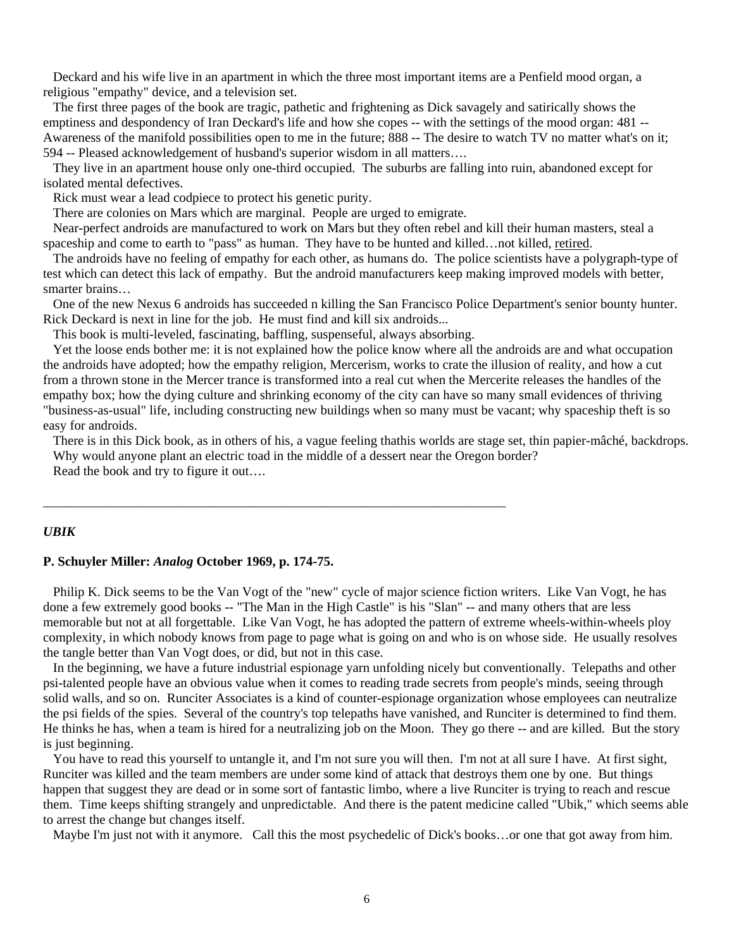Deckard and his wife live in an apartment in which the three most important items are a Penfield mood organ, a religious "empathy" device, and a television set.

 The first three pages of the book are tragic, pathetic and frightening as Dick savagely and satirically shows the emptiness and despondency of Iran Deckard's life and how she copes -- with the settings of the mood organ: 481 -- Awareness of the manifold possibilities open to me in the future; 888 -- The desire to watch TV no matter what's on it; 594 -- Pleased acknowledgement of husband's superior wisdom in all matters….

 They live in an apartment house only one-third occupied. The suburbs are falling into ruin, abandoned except for isolated mental defectives.

Rick must wear a lead codpiece to protect his genetic purity.

There are colonies on Mars which are marginal. People are urged to emigrate.

 Near-perfect androids are manufactured to work on Mars but they often rebel and kill their human masters, steal a spaceship and come to earth to "pass" as human. They have to be hunted and killed…not killed, retired.

 The androids have no feeling of empathy for each other, as humans do. The police scientists have a polygraph-type of test which can detect this lack of empathy. But the android manufacturers keep making improved models with better, smarter brains…

 One of the new Nexus 6 androids has succeeded n killing the San Francisco Police Department's senior bounty hunter. Rick Deckard is next in line for the job. He must find and kill six androids...

This book is multi-leveled, fascinating, baffling, suspenseful, always absorbing.

 Yet the loose ends bother me: it is not explained how the police know where all the androids are and what occupation the androids have adopted; how the empathy religion, Mercerism, works to crate the illusion of reality, and how a cut from a thrown stone in the Mercer trance is transformed into a real cut when the Mercerite releases the handles of the empathy box; how the dying culture and shrinking economy of the city can have so many small evidences of thriving "business-as-usual" life, including constructing new buildings when so many must be vacant; why spaceship theft is so easy for androids.

 There is in this Dick book, as in others of his, a vague feeling thathis worlds are stage set, thin papier-mâché, backdrops. Why would anyone plant an electric toad in the middle of a dessert near the Oregon border? Read the book and try to figure it out….

# \_\_\_\_\_\_\_\_\_\_\_\_\_\_\_\_\_\_\_\_\_\_\_\_\_\_\_\_\_\_\_\_\_\_\_\_\_\_\_\_\_\_\_\_\_\_\_\_\_\_\_\_\_\_\_\_\_\_\_\_\_\_\_\_\_\_\_\_\_\_

#### *UBIK*

# **P. Schuyler Miller:** *Analog* **October 1969, p. 174-75.**

 Philip K. Dick seems to be the Van Vogt of the "new" cycle of major science fiction writers. Like Van Vogt, he has done a few extremely good books -- "The Man in the High Castle" is his "Slan" -- and many others that are less memorable but not at all forgettable. Like Van Vogt, he has adopted the pattern of extreme wheels-within-wheels ploy complexity, in which nobody knows from page to page what is going on and who is on whose side. He usually resolves the tangle better than Van Vogt does, or did, but not in this case.

 In the beginning, we have a future industrial espionage yarn unfolding nicely but conventionally. Telepaths and other psi-talented people have an obvious value when it comes to reading trade secrets from people's minds, seeing through solid walls, and so on. Runciter Associates is a kind of counter-espionage organization whose employees can neutralize the psi fields of the spies. Several of the country's top telepaths have vanished, and Runciter is determined to find them. He thinks he has, when a team is hired for a neutralizing job on the Moon. They go there -- and are killed. But the story is just beginning.

 You have to read this yourself to untangle it, and I'm not sure you will then. I'm not at all sure I have. At first sight, Runciter was killed and the team members are under some kind of attack that destroys them one by one. But things happen that suggest they are dead or in some sort of fantastic limbo, where a live Runciter is trying to reach and rescue them. Time keeps shifting strangely and unpredictable. And there is the patent medicine called "Ubik," which seems able to arrest the change but changes itself.

Maybe I'm just not with it anymore. Call this the most psychedelic of Dick's books…or one that got away from him.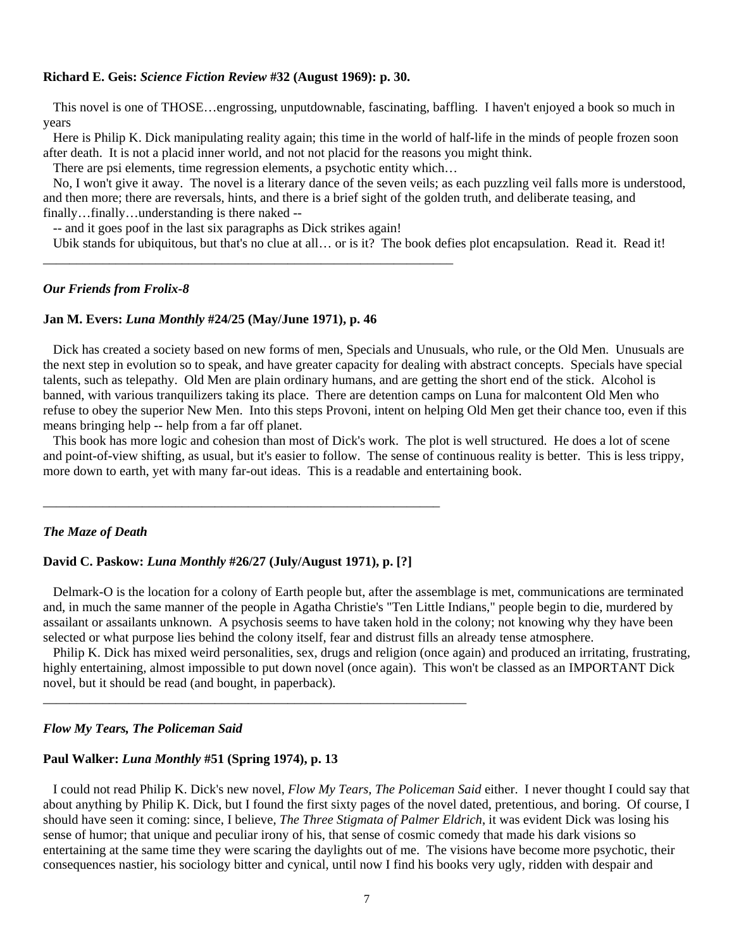## **Richard E. Geis:** *Science Fiction Review* **#32 (August 1969): p. 30.**

 This novel is one of THOSE…engrossing, unputdownable, fascinating, baffling. I haven't enjoyed a book so much in years

Here is Philip K. Dick manipulating reality again; this time in the world of half-life in the minds of people frozen soon after death. It is not a placid inner world, and not not placid for the reasons you might think.

There are psi elements, time regression elements, a psychotic entity which…

\_\_\_\_\_\_\_\_\_\_\_\_\_\_\_\_\_\_\_\_\_\_\_\_\_\_\_\_\_\_\_\_\_\_\_\_\_\_\_\_\_\_\_\_\_\_\_\_\_\_\_\_\_\_\_\_\_\_\_\_\_\_

 No, I won't give it away. The novel is a literary dance of the seven veils; as each puzzling veil falls more is understood, and then more; there are reversals, hints, and there is a brief sight of the golden truth, and deliberate teasing, and finally…finally…understanding is there naked --

-- and it goes poof in the last six paragraphs as Dick strikes again!

Ubik stands for ubiquitous, but that's no clue at all… or is it? The book defies plot encapsulation. Read it. Read it!

### *Our Friends from Frolix-8*

## **Jan M. Evers:** *Luna Monthly* **#24/25 (May/June 1971), p. 46**

 Dick has created a society based on new forms of men, Specials and Unusuals, who rule, or the Old Men. Unusuals are the next step in evolution so to speak, and have greater capacity for dealing with abstract concepts. Specials have special talents, such as telepathy. Old Men are plain ordinary humans, and are getting the short end of the stick. Alcohol is banned, with various tranquilizers taking its place. There are detention camps on Luna for malcontent Old Men who refuse to obey the superior New Men. Into this steps Provoni, intent on helping Old Men get their chance too, even if this means bringing help -- help from a far off planet.

 This book has more logic and cohesion than most of Dick's work. The plot is well structured. He does a lot of scene and point-of-view shifting, as usual, but it's easier to follow. The sense of continuous reality is better. This is less trippy, more down to earth, yet with many far-out ideas. This is a readable and entertaining book.

#### *The Maze of Death*

#### **David C. Paskow:** *Luna Monthly* **#26/27 (July/August 1971), p. [?]**

\_\_\_\_\_\_\_\_\_\_\_\_\_\_\_\_\_\_\_\_\_\_\_\_\_\_\_\_\_\_\_\_\_\_\_\_\_\_\_\_\_\_\_\_\_\_\_\_\_\_\_\_\_\_\_\_\_\_\_\_

\_\_\_\_\_\_\_\_\_\_\_\_\_\_\_\_\_\_\_\_\_\_\_\_\_\_\_\_\_\_\_\_\_\_\_\_\_\_\_\_\_\_\_\_\_\_\_\_\_\_\_\_\_\_\_\_\_\_\_\_\_\_\_\_

 Delmark-O is the location for a colony of Earth people but, after the assemblage is met, communications are terminated and, in much the same manner of the people in Agatha Christie's "Ten Little Indians," people begin to die, murdered by assailant or assailants unknown. A psychosis seems to have taken hold in the colony; not knowing why they have been selected or what purpose lies behind the colony itself, fear and distrust fills an already tense atmosphere.

 Philip K. Dick has mixed weird personalities, sex, drugs and religion (once again) and produced an irritating, frustrating, highly entertaining, almost impossible to put down novel (once again). This won't be classed as an IMPORTANT Dick novel, but it should be read (and bought, in paperback).

#### *Flow My Tears, The Policeman Said*

#### **Paul Walker:** *Luna Monthly* **#51 (Spring 1974), p. 13**

 I could not read Philip K. Dick's new novel, *Flow My Tears, The Policeman Said* either. I never thought I could say that about anything by Philip K. Dick, but I found the first sixty pages of the novel dated, pretentious, and boring. Of course, I should have seen it coming: since, I believe, *The Three Stigmata of Palmer Eldrich*, it was evident Dick was losing his sense of humor; that unique and peculiar irony of his, that sense of cosmic comedy that made his dark visions so entertaining at the same time they were scaring the daylights out of me. The visions have become more psychotic, their consequences nastier, his sociology bitter and cynical, until now I find his books very ugly, ridden with despair and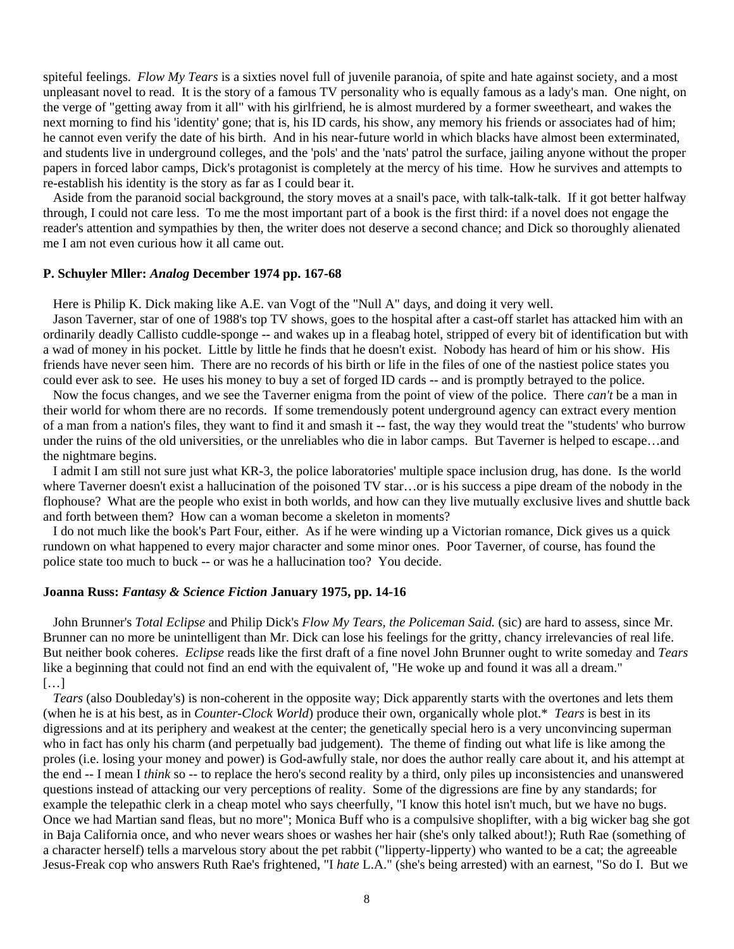spiteful feelings. *Flow My Tears* is a sixties novel full of juvenile paranoia, of spite and hate against society, and a most unpleasant novel to read. It is the story of a famous TV personality who is equally famous as a lady's man. One night, on the verge of "getting away from it all" with his girlfriend, he is almost murdered by a former sweetheart, and wakes the next morning to find his 'identity' gone; that is, his ID cards, his show, any memory his friends or associates had of him; he cannot even verify the date of his birth. And in his near-future world in which blacks have almost been exterminated, and students live in underground colleges, and the 'pols' and the 'nats' patrol the surface, jailing anyone without the proper papers in forced labor camps, Dick's protagonist is completely at the mercy of his time. How he survives and attempts to re-establish his identity is the story as far as I could bear it.

 Aside from the paranoid social background, the story moves at a snail's pace, with talk-talk-talk. If it got better halfway through, I could not care less. To me the most important part of a book is the first third: if a novel does not engage the reader's attention and sympathies by then, the writer does not deserve a second chance; and Dick so thoroughly alienated me I am not even curious how it all came out.

#### **P. Schuyler Mller:** *Analog* **December 1974 pp. 167-68**

Here is Philip K. Dick making like A.E. van Vogt of the "Null A" days, and doing it very well.

 Jason Taverner, star of one of 1988's top TV shows, goes to the hospital after a cast-off starlet has attacked him with an ordinarily deadly Callisto cuddle-sponge -- and wakes up in a fleabag hotel, stripped of every bit of identification but with a wad of money in his pocket. Little by little he finds that he doesn't exist. Nobody has heard of him or his show. His friends have never seen him. There are no records of his birth or life in the files of one of the nastiest police states you could ever ask to see. He uses his money to buy a set of forged ID cards -- and is promptly betrayed to the police.

 Now the focus changes, and we see the Taverner enigma from the point of view of the police. There *can't* be a man in their world for whom there are no records. If some tremendously potent underground agency can extract every mention of a man from a nation's files, they want to find it and smash it -- fast, the way they would treat the "students' who burrow under the ruins of the old universities, or the unreliables who die in labor camps. But Taverner is helped to escape…and the nightmare begins.

 I admit I am still not sure just what KR-3, the police laboratories' multiple space inclusion drug, has done. Is the world where Taverner doesn't exist a hallucination of the poisoned TV star...or is his success a pipe dream of the nobody in the flophouse? What are the people who exist in both worlds, and how can they live mutually exclusive lives and shuttle back and forth between them? How can a woman become a skeleton in moments?

 I do not much like the book's Part Four, either. As if he were winding up a Victorian romance, Dick gives us a quick rundown on what happened to every major character and some minor ones. Poor Taverner, of course, has found the police state too much to buck -- or was he a hallucination too? You decide.

# **Joanna Russ:** *Fantasy & Science Fiction* **January 1975, pp. 14-16**

 John Brunner's *Total Eclipse* and Philip Dick's *Flow My Tears, the Policeman Said.* (sic) are hard to assess, since Mr. Brunner can no more be unintelligent than Mr. Dick can lose his feelings for the gritty, chancy irrelevancies of real life. But neither book coheres. *Eclipse* reads like the first draft of a fine novel John Brunner ought to write someday and *Tears*  like a beginning that could not find an end with the equivalent of, "He woke up and found it was all a dream." […]

 *Tears* (also Doubleday's) is non-coherent in the opposite way; Dick apparently starts with the overtones and lets them (when he is at his best, as in *Counter-Clock World*) produce their own, organically whole plot.\* *Tears* is best in its digressions and at its periphery and weakest at the center; the genetically special hero is a very unconvincing superman who in fact has only his charm (and perpetually bad judgement). The theme of finding out what life is like among the proles (i.e. losing your money and power) is God-awfully stale, nor does the author really care about it, and his attempt at the end -- I mean I *think* so -- to replace the hero's second reality by a third, only piles up inconsistencies and unanswered questions instead of attacking our very perceptions of reality. Some of the digressions are fine by any standards; for example the telepathic clerk in a cheap motel who says cheerfully, "I know this hotel isn't much, but we have no bugs. Once we had Martian sand fleas, but no more"; Monica Buff who is a compulsive shoplifter, with a big wicker bag she got in Baja California once, and who never wears shoes or washes her hair (she's only talked about!); Ruth Rae (something of a character herself) tells a marvelous story about the pet rabbit ("lipperty-lipperty) who wanted to be a cat; the agreeable Jesus-Freak cop who answers Ruth Rae's frightened, "I *hate* L.A." (she's being arrested) with an earnest, "So do I. But we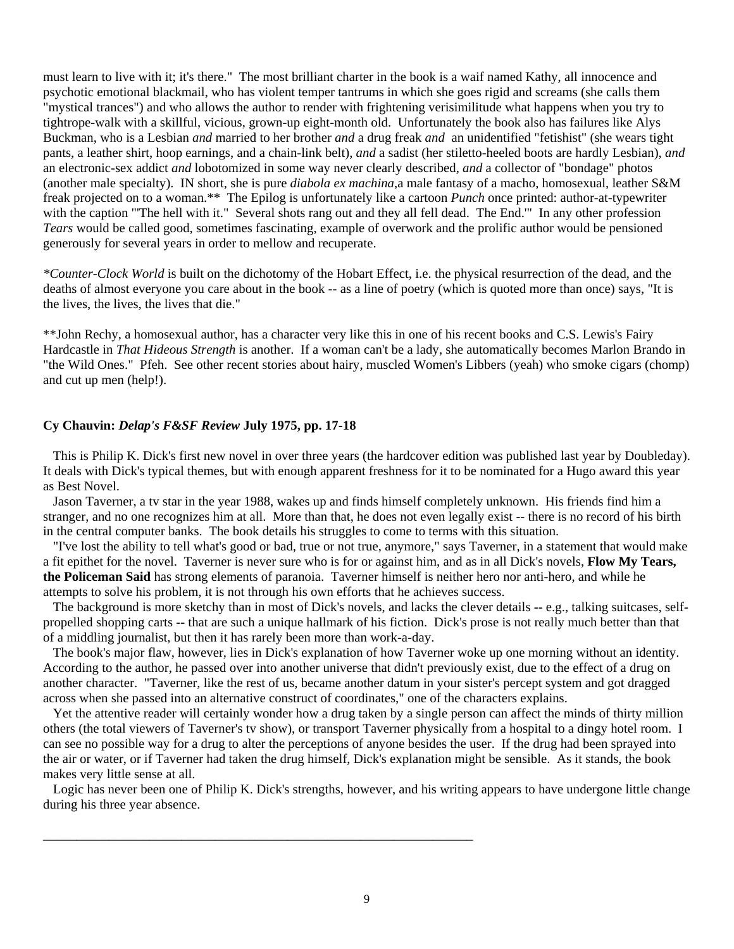must learn to live with it; it's there." The most brilliant charter in the book is a waif named Kathy, all innocence and psychotic emotional blackmail, who has violent temper tantrums in which she goes rigid and screams (she calls them "mystical trances") and who allows the author to render with frightening verisimilitude what happens when you try to tightrope-walk with a skillful, vicious, grown-up eight-month old. Unfortunately the book also has failures like Alys Buckman, who is a Lesbian *and* married to her brother *and* a drug freak *and* an unidentified "fetishist" (she wears tight pants, a leather shirt, hoop earnings, and a chain-link belt), *and* a sadist (her stiletto-heeled boots are hardly Lesbian), *and*  an electronic-sex addict *and* lobotomized in some way never clearly described, *and* a collector of "bondage" photos (another male specialty). IN short, she is pure *diabola ex machina*,a male fantasy of a macho, homosexual, leather S&M freak projected on to a woman.\*\* The Epilog is unfortunately like a cartoon *Punch* once printed: author-at-typewriter with the caption "The hell with it." Several shots rang out and they all fell dead. The End." In any other profession *Tears* would be called good, sometimes fascinating, example of overwork and the prolific author would be pensioned generously for several years in order to mellow and recuperate.

*\*Counter-Clock World* is built on the dichotomy of the Hobart Effect, i.e. the physical resurrection of the dead, and the deaths of almost everyone you care about in the book -- as a line of poetry (which is quoted more than once) says, "It is the lives, the lives, the lives that die."

\*\*John Rechy, a homosexual author, has a character very like this in one of his recent books and C.S. Lewis's Fairy Hardcastle in *That Hideous Strength* is another. If a woman can't be a lady, she automatically becomes Marlon Brando in "the Wild Ones." Pfeh. See other recent stories about hairy, muscled Women's Libbers (yeah) who smoke cigars (chomp) and cut up men (help!).

# **Cy Chauvin:** *Delap's F&SF Review* **July 1975, pp. 17-18**

 This is Philip K. Dick's first new novel in over three years (the hardcover edition was published last year by Doubleday). It deals with Dick's typical themes, but with enough apparent freshness for it to be nominated for a Hugo award this year as Best Novel.

 Jason Taverner, a tv star in the year 1988, wakes up and finds himself completely unknown. His friends find him a stranger, and no one recognizes him at all. More than that, he does not even legally exist -- there is no record of his birth in the central computer banks. The book details his struggles to come to terms with this situation.

 "I've lost the ability to tell what's good or bad, true or not true, anymore," says Taverner, in a statement that would make a fit epithet for the novel. Taverner is never sure who is for or against him, and as in all Dick's novels, **Flow My Tears, the Policeman Said** has strong elements of paranoia. Taverner himself is neither hero nor anti-hero, and while he attempts to solve his problem, it is not through his own efforts that he achieves success.

 The background is more sketchy than in most of Dick's novels, and lacks the clever details -- e.g., talking suitcases, selfpropelled shopping carts -- that are such a unique hallmark of his fiction. Dick's prose is not really much better than that of a middling journalist, but then it has rarely been more than work-a-day.

 The book's major flaw, however, lies in Dick's explanation of how Taverner woke up one morning without an identity. According to the author, he passed over into another universe that didn't previously exist, due to the effect of a drug on another character. "Taverner, like the rest of us, became another datum in your sister's percept system and got dragged across when she passed into an alternative construct of coordinates," one of the characters explains.

 Yet the attentive reader will certainly wonder how a drug taken by a single person can affect the minds of thirty million others (the total viewers of Taverner's tv show), or transport Taverner physically from a hospital to a dingy hotel room. I can see no possible way for a drug to alter the perceptions of anyone besides the user. If the drug had been sprayed into the air or water, or if Taverner had taken the drug himself, Dick's explanation might be sensible. As it stands, the book makes very little sense at all.

 Logic has never been one of Philip K. Dick's strengths, however, and his writing appears to have undergone little change during his three year absence.

\_\_\_\_\_\_\_\_\_\_\_\_\_\_\_\_\_\_\_\_\_\_\_\_\_\_\_\_\_\_\_\_\_\_\_\_\_\_\_\_\_\_\_\_\_\_\_\_\_\_\_\_\_\_\_\_\_\_\_\_\_\_\_\_\_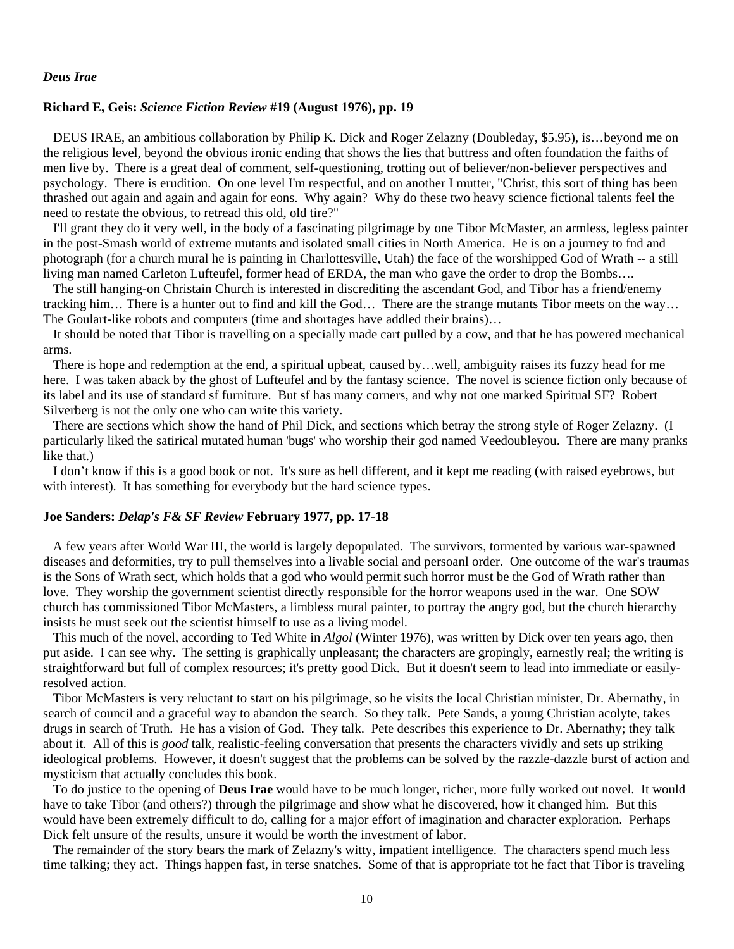## *Deus Irae*

## **Richard E, Geis:** *Science Fiction Review* **#19 (August 1976), pp. 19**

 DEUS IRAE, an ambitious collaboration by Philip K. Dick and Roger Zelazny (Doubleday, \$5.95), is…beyond me on the religious level, beyond the obvious ironic ending that shows the lies that buttress and often foundation the faiths of men live by. There is a great deal of comment, self-questioning, trotting out of believer/non-believer perspectives and psychology. There is erudition. On one level I'm respectful, and on another I mutter, "Christ, this sort of thing has been thrashed out again and again and again for eons. Why again? Why do these two heavy science fictional talents feel the need to restate the obvious, to retread this old, old tire?"

 I'll grant they do it very well, in the body of a fascinating pilgrimage by one Tibor McMaster, an armless, legless painter in the post-Smash world of extreme mutants and isolated small cities in North America. He is on a journey to fnd and photograph (for a church mural he is painting in Charlottesville, Utah) the face of the worshipped God of Wrath -- a still living man named Carleton Lufteufel, former head of ERDA, the man who gave the order to drop the Bombs….

 The still hanging-on Christain Church is interested in discrediting the ascendant God, and Tibor has a friend/enemy tracking him… There is a hunter out to find and kill the God… There are the strange mutants Tibor meets on the way… The Goulart-like robots and computers (time and shortages have addled their brains)…

 It should be noted that Tibor is travelling on a specially made cart pulled by a cow, and that he has powered mechanical arms.

 There is hope and redemption at the end, a spiritual upbeat, caused by…well, ambiguity raises its fuzzy head for me here. I was taken aback by the ghost of Lufteufel and by the fantasy science. The novel is science fiction only because of its label and its use of standard sf furniture. But sf has many corners, and why not one marked Spiritual SF? Robert Silverberg is not the only one who can write this variety.

 There are sections which show the hand of Phil Dick, and sections which betray the strong style of Roger Zelazny. (I particularly liked the satirical mutated human 'bugs' who worship their god named Veedoubleyou. There are many pranks like that.)

 I don't know if this is a good book or not. It's sure as hell different, and it kept me reading (with raised eyebrows, but with interest). It has something for everybody but the hard science types.

## **Joe Sanders:** *Delap's F& SF Review* **February 1977, pp. 17-18**

 A few years after World War III, the world is largely depopulated. The survivors, tormented by various war-spawned diseases and deformities, try to pull themselves into a livable social and persoanl order. One outcome of the war's traumas is the Sons of Wrath sect, which holds that a god who would permit such horror must be the God of Wrath rather than love. They worship the government scientist directly responsible for the horror weapons used in the war. One SOW church has commissioned Tibor McMasters, a limbless mural painter, to portray the angry god, but the church hierarchy insists he must seek out the scientist himself to use as a living model.

 This much of the novel, according to Ted White in *Algol* (Winter 1976), was written by Dick over ten years ago, then put aside. I can see why. The setting is graphically unpleasant; the characters are gropingly, earnestly real; the writing is straightforward but full of complex resources; it's pretty good Dick. But it doesn't seem to lead into immediate or easilyresolved action.

 Tibor McMasters is very reluctant to start on his pilgrimage, so he visits the local Christian minister, Dr. Abernathy, in search of council and a graceful way to abandon the search. So they talk. Pete Sands, a young Christian acolyte, takes drugs in search of Truth. He has a vision of God. They talk. Pete describes this experience to Dr. Abernathy; they talk about it. All of this is *good* talk, realistic-feeling conversation that presents the characters vividly and sets up striking ideological problems. However, it doesn't suggest that the problems can be solved by the razzle-dazzle burst of action and mysticism that actually concludes this book.

 To do justice to the opening of **Deus Irae** would have to be much longer, richer, more fully worked out novel. It would have to take Tibor (and others?) through the pilgrimage and show what he discovered, how it changed him. But this would have been extremely difficult to do, calling for a major effort of imagination and character exploration. Perhaps Dick felt unsure of the results, unsure it would be worth the investment of labor.

 The remainder of the story bears the mark of Zelazny's witty, impatient intelligence. The characters spend much less time talking; they act. Things happen fast, in terse snatches. Some of that is appropriate tot he fact that Tibor is traveling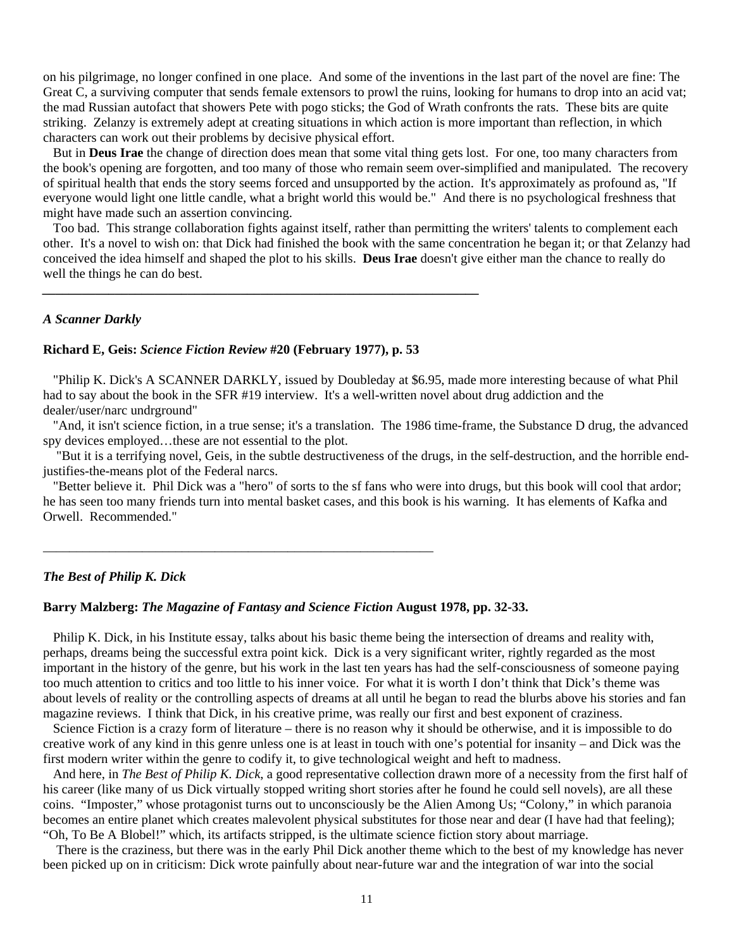on his pilgrimage, no longer confined in one place. And some of the inventions in the last part of the novel are fine: The Great C, a surviving computer that sends female extensors to prowl the ruins, looking for humans to drop into an acid vat; the mad Russian autofact that showers Pete with pogo sticks; the God of Wrath confronts the rats. These bits are quite striking. Zelanzy is extremely adept at creating situations in which action is more important than reflection, in which characters can work out their problems by decisive physical effort.

 But in **Deus Irae** the change of direction does mean that some vital thing gets lost. For one, too many characters from the book's opening are forgotten, and too many of those who remain seem over-simplified and manipulated. The recovery of spiritual health that ends the story seems forced and unsupported by the action. It's approximately as profound as, "If everyone would light one little candle, what a bright world this would be." And there is no psychological freshness that might have made such an assertion convincing.

 Too bad. This strange collaboration fights against itself, rather than permitting the writers' talents to complement each other. It's a novel to wish on: that Dick had finished the book with the same concentration he began it; or that Zelanzy had conceived the idea himself and shaped the plot to his skills. **Deus Irae** doesn't give either man the chance to really do well the things he can do best.

### *A Scanner Darkly*

# **Richard E, Geis:** *Science Fiction Review* **#20 (February 1977), p. 53**

\_\_\_\_\_\_\_\_\_\_\_\_\_\_\_\_\_\_\_\_\_\_\_\_\_\_\_\_\_\_\_\_\_\_\_\_\_\_\_\_\_\_\_\_\_\_\_\_\_\_\_\_\_\_\_\_\_\_\_

*\_\_\_\_\_\_\_\_\_\_\_\_\_\_\_\_\_\_\_\_\_\_\_\_\_\_\_\_\_\_\_\_\_\_\_\_\_\_\_\_\_\_\_\_\_\_\_\_\_\_\_\_\_\_\_\_\_\_\_\_\_\_\_\_\_\_* 

 "Philip K. Dick's A SCANNER DARKLY, issued by Doubleday at \$6.95, made more interesting because of what Phil had to say about the book in the SFR #19 interview. It's a well-written novel about drug addiction and the dealer/user/narc undrground"

 "And, it isn't science fiction, in a true sense; it's a translation. The 1986 time-frame, the Substance D drug, the advanced spy devices employed…these are not essential to the plot.

 "But it is a terrifying novel, Geis, in the subtle destructiveness of the drugs, in the self-destruction, and the horrible endjustifies-the-means plot of the Federal narcs.

 "Better believe it. Phil Dick was a "hero" of sorts to the sf fans who were into drugs, but this book will cool that ardor; he has seen too many friends turn into mental basket cases, and this book is his warning. It has elements of Kafka and Orwell. Recommended."

## *The Best of Philip K. Dick*

#### **Barry Malzberg:** *The Magazine of Fantasy and Science Fiction* **August 1978, pp. 32-33.**

 Philip K. Dick, in his Institute essay, talks about his basic theme being the intersection of dreams and reality with, perhaps, dreams being the successful extra point kick. Dick is a very significant writer, rightly regarded as the most important in the history of the genre, but his work in the last ten years has had the self-consciousness of someone paying too much attention to critics and too little to his inner voice. For what it is worth I don't think that Dick's theme was about levels of reality or the controlling aspects of dreams at all until he began to read the blurbs above his stories and fan magazine reviews. I think that Dick, in his creative prime, was really our first and best exponent of craziness.

 Science Fiction is a crazy form of literature – there is no reason why it should be otherwise, and it is impossible to do creative work of any kind in this genre unless one is at least in touch with one's potential for insanity – and Dick was the first modern writer within the genre to codify it, to give technological weight and heft to madness.

 And here, in *The Best of Philip K. Dick*, a good representative collection drawn more of a necessity from the first half of his career (like many of us Dick virtually stopped writing short stories after he found he could sell novels), are all these coins. "Imposter," whose protagonist turns out to unconsciously be the Alien Among Us; "Colony," in which paranoia becomes an entire planet which creates malevolent physical substitutes for those near and dear (I have had that feeling); "Oh, To Be A Blobel!" which, its artifacts stripped, is the ultimate science fiction story about marriage.

 There is the craziness, but there was in the early Phil Dick another theme which to the best of my knowledge has never been picked up on in criticism: Dick wrote painfully about near-future war and the integration of war into the social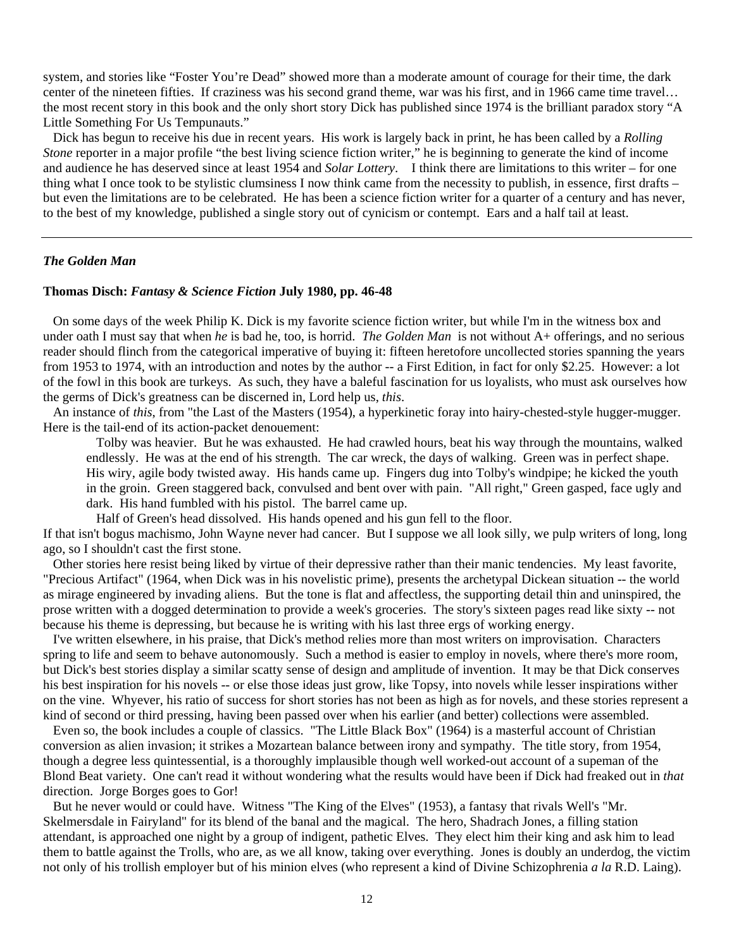system, and stories like "Foster You're Dead" showed more than a moderate amount of courage for their time, the dark center of the nineteen fifties. If craziness was his second grand theme, war was his first, and in 1966 came time travel… the most recent story in this book and the only short story Dick has published since 1974 is the brilliant paradox story "A Little Something For Us Tempunauts."

 Dick has begun to receive his due in recent years. His work is largely back in print, he has been called by a *Rolling Stone* reporter in a major profile "the best living science fiction writer," he is beginning to generate the kind of income and audience he has deserved since at least 1954 and *Solar Lottery*. I think there are limitations to this writer – for one thing what I once took to be stylistic clumsiness I now think came from the necessity to publish, in essence, first drafts – but even the limitations are to be celebrated. He has been a science fiction writer for a quarter of a century and has never, to the best of my knowledge, published a single story out of cynicism or contempt. Ears and a half tail at least.

# *The Golden Man*

#### **Thomas Disch:** *Fantasy & Science Fiction* **July 1980, pp. 46-48**

 On some days of the week Philip K. Dick is my favorite science fiction writer, but while I'm in the witness box and under oath I must say that when *he* is bad he, too, is horrid. *The Golden Man* is not without A+ offerings, and no serious reader should flinch from the categorical imperative of buying it: fifteen heretofore uncollected stories spanning the years from 1953 to 1974, with an introduction and notes by the author -- a First Edition, in fact for only \$2.25. However: a lot of the fowl in this book are turkeys. As such, they have a baleful fascination for us loyalists, who must ask ourselves how the germs of Dick's greatness can be discerned in, Lord help us, *this*.

 An instance of *this*, from "the Last of the Masters (1954), a hyperkinetic foray into hairy-chested-style hugger-mugger. Here is the tail-end of its action-packet denouement:

 Tolby was heavier. But he was exhausted. He had crawled hours, beat his way through the mountains, walked endlessly. He was at the end of his strength. The car wreck, the days of walking. Green was in perfect shape. His wiry, agile body twisted away. His hands came up. Fingers dug into Tolby's windpipe; he kicked the youth in the groin. Green staggered back, convulsed and bent over with pain. "All right," Green gasped, face ugly and dark. His hand fumbled with his pistol. The barrel came up.

Half of Green's head dissolved. His hands opened and his gun fell to the floor.

If that isn't bogus machismo, John Wayne never had cancer. But I suppose we all look silly, we pulp writers of long, long ago, so I shouldn't cast the first stone.

 Other stories here resist being liked by virtue of their depressive rather than their manic tendencies. My least favorite, "Precious Artifact" (1964, when Dick was in his novelistic prime), presents the archetypal Dickean situation -- the world as mirage engineered by invading aliens. But the tone is flat and affectless, the supporting detail thin and uninspired, the prose written with a dogged determination to provide a week's groceries. The story's sixteen pages read like sixty -- not because his theme is depressing, but because he is writing with his last three ergs of working energy.

 I've written elsewhere, in his praise, that Dick's method relies more than most writers on improvisation. Characters spring to life and seem to behave autonomously. Such a method is easier to employ in novels, where there's more room, but Dick's best stories display a similar scatty sense of design and amplitude of invention. It may be that Dick conserves his best inspiration for his novels -- or else those ideas just grow, like Topsy, into novels while lesser inspirations wither on the vine. Whyever, his ratio of success for short stories has not been as high as for novels, and these stories represent a kind of second or third pressing, having been passed over when his earlier (and better) collections were assembled.

 Even so, the book includes a couple of classics. "The Little Black Box" (1964) is a masterful account of Christian conversion as alien invasion; it strikes a Mozartean balance between irony and sympathy. The title story, from 1954, though a degree less quintessential, is a thoroughly implausible though well worked-out account of a supeman of the Blond Beat variety. One can't read it without wondering what the results would have been if Dick had freaked out in *that*  direction. Jorge Borges goes to Gor!

 But he never would or could have. Witness "The King of the Elves" (1953), a fantasy that rivals Well's "Mr. Skelmersdale in Fairyland" for its blend of the banal and the magical. The hero, Shadrach Jones, a filling station attendant, is approached one night by a group of indigent, pathetic Elves. They elect him their king and ask him to lead them to battle against the Trolls, who are, as we all know, taking over everything. Jones is doubly an underdog, the victim not only of his trollish employer but of his minion elves (who represent a kind of Divine Schizophrenia *a la* R.D. Laing).